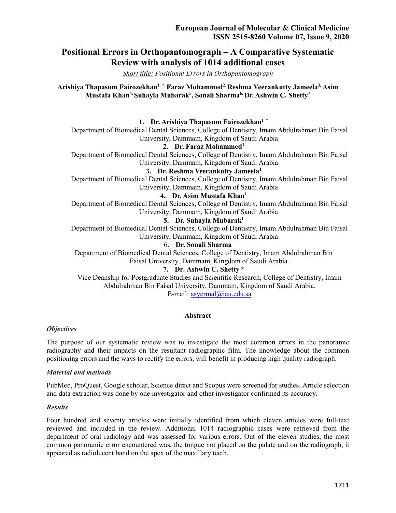# **Positional Errors in Orthopantomograph – A Comparative Systematic Review with analysis of 1014 additional cases**

*Short title: Positional Errors in Orthopantomograph*

**Arishiya Thapasum Fairozekhan1 \*, Faraz Mohammed2, Reshma Veerankutty Jameela3, Asim Mustafa Khan4, Suhayla Mubarak<sup>5</sup> , Sonali Sharma6, Dr. Ashwin C. Shetty<sup>7</sup>**

### **1. Dr. Arishiya Thapasum Fairozekhan1 \***

Department of Biomedical Dental Sciences, College of Dentistry, Imam Abdulrahman Bin Faisal University, Dammam, Kingdom of Saudi Arabia.

#### **2. Dr. Faraz Mohammed<sup>1</sup>**

Department of Biomedical Dental Sciences, College of Dentistry, Imam Abdulrahman Bin Faisal University, Dammam, Kingdom of Saudi Arabia.

## **3. Dr. Reshma Veerankutty Jameela<sup>1</sup>**

Department of Biomedical Dental Sciences, College of Dentistry, Imam Abdulrahman Bin Faisal University, Dammam, Kingdom of Saudi Arabia.

#### **4. Dr. Asim Mustafa Khan<sup>1</sup>**

Department of Biomedical Dental Sciences, College of Dentistry, Imam Abdulrahman Bin Faisal University, Dammam, Kingdom of Saudi Arabia.

#### **5. Dr. Suhayla Mubarak<sup>1</sup>**

Department of Biomedical Dental Sciences, College of Dentistry, Imam Abdulrahman Bin Faisal University, Dammam, Kingdom of Saudi Arabia.

#### 6. **Dr. Sonali Sharma**

Department of Biomedical Dental Sciences, College of Dentistry, Imam Abdulrahman Bin Faisal University, Dammam, Kingdom of Saudi Arabia.

#### **7. Dr. Ashwin C. Shetty \***

Vice Deanship for Postgraduate Studies and Scientific Research, College of Dentistry, Imam Abdulrahman Bin Faisal University, Dammam, Kingdom of Saudi Arabia. E-mail: asyermal@iau.edu.sa

#### **Abstract**

#### *Objectives*

The purpose of our systematic review was to investigate the most common errors in the panoramic radiography and their impacts on the resultant radiographic film. The knowledge about the common positioning errors and the ways to rectify the errors, will benefit in producing high quality radiograph.

#### *Material and methods*

PubMed, ProQuest, Google scholar, Science direct and Scopus were screened for studies. Article selection and data extraction was done by one investigator and other investigator confirmed its accuracy.

#### *Results*

Four hundred and seventy articles were initially identified from which eleven articles were full-text reviewed and included in the review. Additional 1014 radiographic cases were retrieved from the department of oral radiology and was assessed for various errors. Out of the eleven studies, the most common panoramic error encountered was, the tongue not placed on the palate and on the radiograph, it appeared as radiolucent band on the apex of the maxillary teeth.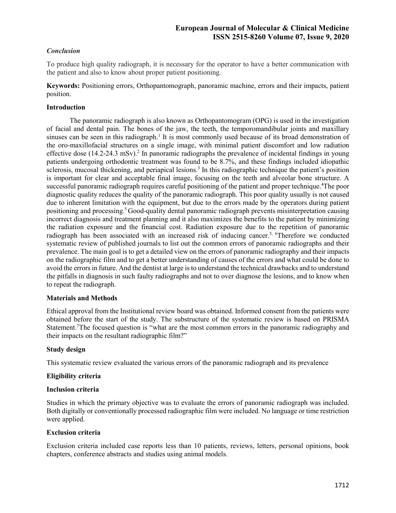## *Conclusion*

To produce high quality radiograph, it is necessary for the operator to have a better communication with the patient and also to know about proper patient positioning.

**Keywords:** Positioning errors, Orthopantomograph, panoramic machine, errors and their impacts, patient position.

### **Introduction**

 The panoramic radiograph is also known as Orthopantomogram (OPG) is used in the investigation of facial and dental pain. The bones of the jaw, the teeth, the temporomandibular joints and maxillary sinuses can be seen in this radiograph.<sup>1</sup> It is most commonly used because of its broad demonstration of the oro-maxillofacial structures on a single image, with minimal patient discomfort and low radiation effective dose (14.2-24.3 mSv).<sup>2</sup> In panoramic radiographs the prevalence of incidental findings in young patients undergoing orthodontic treatment was found to be 8.7%, and these findings included idiopathic sclerosis, mucosal thickening, and periapical lesions.<sup>3</sup> In this radiographic technique the patient's position is important for clear and acceptable final image, focusing on the teeth and alveolar bone structure. A successful panoramic radiograph requires careful positioning of the patient and proper technique.<sup>4</sup>The poor diagnostic quality reduces the quality of the panoramic radiograph. This poor quality usually is not caused due to inherent limitation with the equipment, but due to the errors made by the operators during patient positioning and processing.<sup>5</sup> Good-quality dental panoramic radiograph prevents misinterpretation causing incorrect diagnosis and treatment planning and it also maximizes the benefits to the patient by minimizing the radiation exposure and the financial cost. Radiation exposure due to the repetition of panoramic radiograph has been associated with an increased risk of inducing cancer.<sup>5, 6</sup>Therefore we conducted systematic review of published journals to list out the common errors of panoramic radiographs and their prevalence. The main goal is to get a detailed view on the errors of panoramic radiography and their impacts on the radiographic film and to get a better understanding of causes of the errors and what could be done to avoid the errors in future. And the dentist at large is to understand the technical drawbacks and to understand the pitfalls in diagnosis in such faulty radiographs and not to over diagnose the lesions, and to know when to repeat the radiograph.

#### **Materials and Methods**

Ethical approval from the Institutional review board was obtained. Informed consent from the patients were obtained before the start of the study. The substructure of the systematic review is based on PRISMA Statement.<sup>7</sup>The focused question is "what are the most common errors in the panoramic radiography and their impacts on the resultant radiographic film?"

#### **Study design**

This systematic review evaluated the various errors of the panoramic radiograph and its prevalence

#### **Eligibility criteria**

#### **Inclusion criteria**

Studies in which the primary objective was to evaluate the errors of panoramic radiograph was included. Both digitally or conventionally processed radiographic film were included. No language or time restriction were applied.

### **Exclusion criteria**

Exclusion criteria included case reports less than 10 patients, reviews, letters, personal opinions, book chapters, conference abstracts and studies using animal models.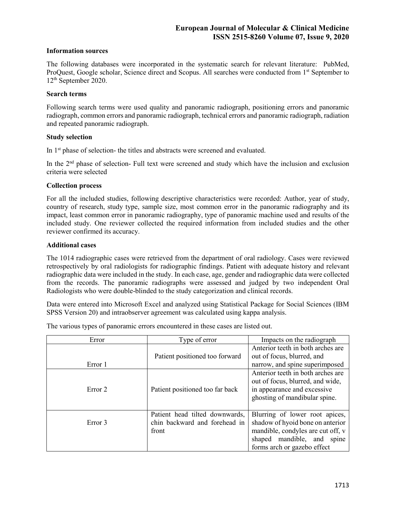#### **Information sources**

The following databases were incorporated in the systematic search for relevant literature: PubMed, ProQuest, Google scholar, Science direct and Scopus. All searches were conducted from 1<sup>st</sup> September to 12th September 2020.

#### **Search terms**

Following search terms were used quality and panoramic radiograph, positioning errors and panoramic radiograph, common errors and panoramic radiograph, technical errors and panoramic radiograph, radiation and repeated panoramic radiograph.

#### **Study selection**

In 1<sup>st</sup> phase of selection- the titles and abstracts were screened and evaluated.

In the  $2<sup>nd</sup>$  phase of selection- Full text were screened and study which have the inclusion and exclusion criteria were selected

#### **Collection process**

For all the included studies, following descriptive characteristics were recorded: Author, year of study, country of research, study type, sample size, most common error in the panoramic radiography and its impact, least common error in panoramic radiography, type of panoramic machine used and results of the included study. One reviewer collected the required information from included studies and the other reviewer confirmed its accuracy.

#### **Additional cases**

The 1014 radiographic cases were retrieved from the department of oral radiology. Cases were reviewed retrospectively by oral radiologists for radiographic findings. Patient with adequate history and relevant radiographic data were included in the study. In each case, age, gender and radiographic data were collected from the records. The panoramic radiographs were assessed and judged by two independent Oral Radiologists who were double-blinded to the study categorization and clinical records.

Data were entered into Microsoft Excel and analyzed using Statistical Package for Social Sciences (IBM SPSS Version 20) and intraobserver agreement was calculated using kappa analysis.

The various types of panoramic errors encountered in these cases are listed out.

| Error              | Type of error                                                            | Impacts on the radiograph                                                                                                                                            |  |  |
|--------------------|--------------------------------------------------------------------------|----------------------------------------------------------------------------------------------------------------------------------------------------------------------|--|--|
|                    | Patient positioned too forward                                           | Anterior teeth in both arches are<br>out of focus, blurred, and                                                                                                      |  |  |
| Error 1            |                                                                          | narrow, and spine superimposed                                                                                                                                       |  |  |
| Error <sub>2</sub> | Patient positioned too far back                                          | Anterior teeth in both arches are<br>out of focus, blurred, and wide,<br>in appearance and excessive<br>ghosting of mandibular spine.                                |  |  |
| Error 3            | Patient head tilted downwards,<br>chin backward and forehead in<br>front | Blurring of lower root apices,<br>shadow of hyoid bone on anterior<br>mandible, condyles are cut off, v<br>shaped mandible, and spine<br>forms arch or gazebo effect |  |  |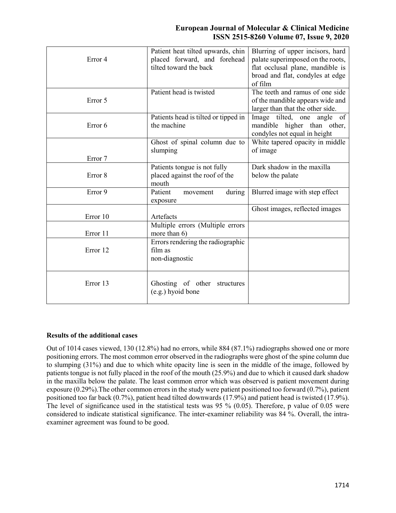| Error 4            | Patient heat tilted upwards, chin<br>placed forward, and forehead<br>tilted toward the back | Blurring of upper incisors, hard<br>palate superimposed on the roots,<br>flat occlusal plane, mandible is<br>broad and flat, condyles at edge<br>of film |
|--------------------|---------------------------------------------------------------------------------------------|----------------------------------------------------------------------------------------------------------------------------------------------------------|
| Error 5            | Patient head is twisted                                                                     | The teeth and ramus of one side<br>of the mandible appears wide and<br>larger than that the other side.                                                  |
| Error 6            | Patients head is tilted or tipped in<br>the machine                                         | Image tilted, one angle of<br>mandible higher than other,<br>condyles not equal in height                                                                |
| Error 7            | Ghost of spinal column due to<br>slumping                                                   | White tapered opacity in middle<br>of image                                                                                                              |
| Error <sub>8</sub> | Patients tongue is not fully<br>placed against the roof of the<br>mouth                     | Dark shadow in the maxilla<br>below the palate                                                                                                           |
| Error 9            | Patient<br>during<br>movement<br>exposure                                                   | Blurred image with step effect                                                                                                                           |
| Error 10           | Artefacts                                                                                   | Ghost images, reflected images                                                                                                                           |
| Error 11           | Multiple errors (Multiple errors<br>more than 6)                                            |                                                                                                                                                          |
| Error 12           | Errors rendering the radiographic<br>film as<br>non-diagnostic                              |                                                                                                                                                          |
| Error 13           | Ghosting of other structures<br>(e.g.) hyoid bone                                           |                                                                                                                                                          |

#### **Results of the additional cases**

Out of 1014 cases viewed, 130 (12.8%) had no errors, while 884 (87.1%) radiographs showed one or more positioning errors. The most common error observed in the radiographs were ghost of the spine column due to slumping (31%) and due to which white opacity line is seen in the middle of the image, followed by patients tongue is not fully placed in the roof of the mouth (25.9%) and due to which it caused dark shadow in the maxilla below the palate. The least common error which was observed is patient movement during exposure (0.29%).The other common errors in the study were patient positioned too forward (0.7%), patient positioned too far back (0.7%), patient head tilted downwards (17.9%) and patient head is twisted (17.9%). The level of significance used in the statistical tests was 95 % (0.05). Therefore, p value of 0.05 were considered to indicate statistical significance. The inter-examiner reliability was 84 %. Overall, the intraexaminer agreement was found to be good.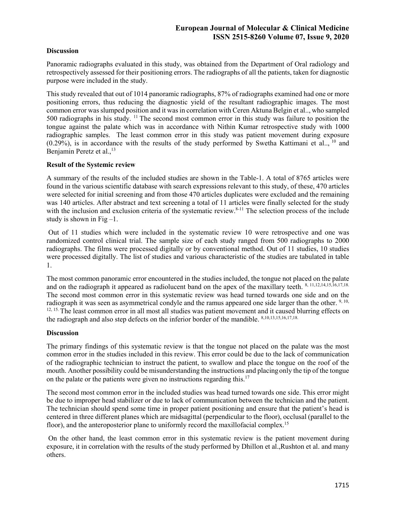## **Discussion**

Panoramic radiographs evaluated in this study, was obtained from the Department of Oral radiology and retrospectively assessed for their positioning errors. The radiographs of all the patients, taken for diagnostic purpose were included in the study.

This study revealed that out of 1014 panoramic radiographs, 87% of radiographs examined had one or more positioning errors, thus reducing the diagnostic yield of the resultant radiographic images. The most common error was slumped position and it was in correlation with Ceren Aktuna Belgin et al.., who sampled 500 radiographs in his study. <sup>11</sup> The second most common error in this study was failure to position the tongue against the palate which was in accordance with Nithin Kumar retrospective study with 1000 radiographic samples. The least common error in this study was patient movement during exposure  $(0.29\%)$ , is in accordance with the results of the study performed by Swetha Kattimani et al.., <sup>10</sup> and Benjamin Peretz et al.,<sup>13</sup>

## **Result of the Systemic review**

A summary of the results of the included studies are shown in the Table-1. A total of 8765 articles were found in the various scientific database with search expressions relevant to this study, of these, 470 articles were selected for initial screening and from those 470 articles duplicates were excluded and the remaining was 140 articles. After abstract and text screening a total of 11 articles were finally selected for the study with the inclusion and exclusion criteria of the systematic review.<sup>8-11</sup> The selection process of the include study is shown in Fig  $-1$ .

 Out of 11 studies which were included in the systematic review 10 were retrospective and one was randomized control clinical trial. The sample size of each study ranged from 500 radiographs to 2000 radiographs. The films were processed digitally or by conventional method. Out of 11 studies, 10 studies were processed digitally. The list of studies and various characteristic of the studies are tabulated in table 1.

The most common panoramic error encountered in the studies included, the tongue not placed on the palate and on the radiograph it appeared as radiolucent band on the apex of the maxillary teeth. 8, 11,12,14,15,16,17,18. The second most common error in this systematic review was head turned towards one side and on the radiograph it was seen as asymmetrical condyle and the ramus appeared one side larger than the other. 9, 10, <sup>12, 15.</sup> The least common error in all most all studies was patient movement and it caused blurring effects on the radiograph and also step defects on the inferior border of the mandible. 8,10,13,15,16,17,18.

#### **Discussion**

The primary findings of this systematic review is that the tongue not placed on the palate was the most common error in the studies included in this review. This error could be due to the lack of communication of the radiographic technician to instruct the patient, to swallow and place the tongue on the roof of the mouth. Another possibility could be misunderstanding the instructions and placingonly the tip of the tongue on the palate or the patients were given no instructions regarding this.<sup>17</sup>

The second most common error in the included studies was head turned towards one side. This error might be due to improper head stabilizer or due to lack of communication between the technician and the patient. The technician should spend some time in proper patient positioning and ensure that the patient's head is centered in three different planes which are midsagittal (perpendicular to the floor), occlusal (parallel to the floor), and the anteroposterior plane to uniformly record the maxillofacial complex.<sup>15</sup>

 On the other hand, the least common error in this systematic review is the patient movement during exposure, it in correlation with the results of the study performed by Dhillon et al.,Rushton et al. and many others.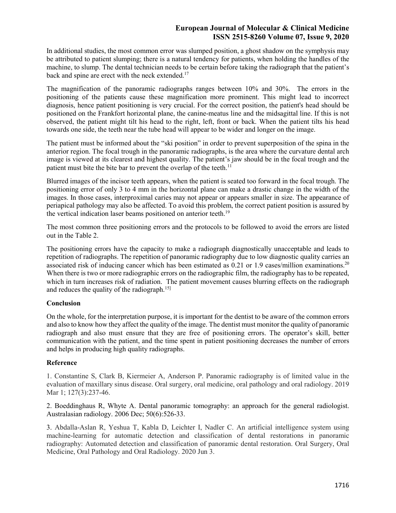In additional studies, the most common error was slumped position, a ghost shadow on the symphysis may be attributed to patient slumping; there is a natural tendency for patients, when holding the handles of the machine, to slump. The dental technician needs to be certain before taking the radiograph that the patient's back and spine are erect with the neck extended.<sup>17</sup>

The magnification of the panoramic radiographs ranges between 10% and 30%. The errors in the positioning of the patients cause these magnification more prominent. This might lead to incorrect diagnosis, hence patient positioning is very crucial. For the correct position, the patient's head should be positioned on the Frankfort horizontal plane, the canine-meatus line and the midsagittal line. If this is not observed, the patient might tilt his head to the right, left, front or back. When the patient tilts his head towards one side, the teeth near the tube head will appear to be wider and longer on the image.

The patient must be informed about the "ski position" in order to prevent superposition of the spina in the anterior region. The focal trough in the panoramic radiographs, is the area where the curvature dental arch image is viewed at its clearest and highest quality. The patient's jaw should be in the focal trough and the patient must bite the bite bar to prevent the overlap of the teeth.<sup>11</sup>

Blurred images of the incisor teeth appears, when the patient is seated too forward in the focal trough. The positioning error of only 3 to 4 mm in the horizontal plane can make a drastic change in the width of the images. In those cases, interproximal caries may not appear or appears smaller in size. The appearance of periapical pathology may also be affected. To avoid this problem, the correct patient position is assured by the vertical indication laser beams positioned on anterior teeth.<sup>19</sup>

The most common three positioning errors and the protocols to be followed to avoid the errors are listed out in the Table 2.

The positioning errors have the capacity to make a radiograph diagnostically unacceptable and leads to repetition of radiographs. The repetition of panoramic radiography due to low diagnostic quality carries an associated risk of inducing cancer which has been estimated as  $0.21$  or  $1.9$  cases/million examinations.<sup>20</sup> When there is two or more radiographic errors on the radiographic film, the radiography has to be repeated, which in turn increases risk of radiation. The patient movement causes blurring effects on the radiograph and reduces the quality of the radiograph.15]

## **Conclusion**

On the whole, for the interpretation purpose, it is important for the dentist to be aware of the common errors and also to know how they affect the quality of the image. The dentist must monitor the quality of panoramic radiograph and also must ensure that they are free of positioning errors. The operator's skill, better communication with the patient, and the time spent in patient positioning decreases the number of errors and helps in producing high quality radiographs.

#### **Reference**

1. Constantine S, Clark B, Kiermeier A, Anderson P. Panoramic radiography is of limited value in the evaluation of maxillary sinus disease. Oral surgery, oral medicine, oral pathology and oral radiology. 2019 Mar 1; 127(3):237-46.

2. Boeddinghaus R, Whyte A. Dental panoramic tomography: an approach for the general radiologist. Australasian radiology. 2006 Dec; 50(6):526-33.

3. Abdalla-Aslan R, Yeshua T, Kabla D, Leichter I, Nadler C. An artificial intelligence system using machine-learning for automatic detection and classification of dental restorations in panoramic radiography: Automated detection and classification of panoramic dental restoration. Oral Surgery, Oral Medicine, Oral Pathology and Oral Radiology. 2020 Jun 3.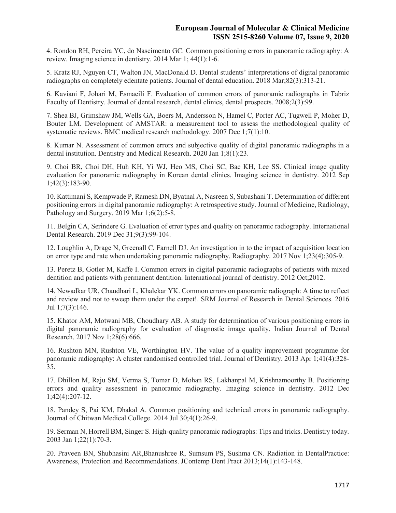4. Rondon RH, Pereira YC, do Nascimento GC. Common positioning errors in panoramic radiography: A review. Imaging science in dentistry. 2014 Mar 1; 44(1):1-6.

5. Kratz RJ, Nguyen CT, Walton JN, MacDonald D. Dental students' interpretations of digital panoramic radiographs on completely edentate patients. Journal of dental education. 2018 Mar;82(3):313-21.

6. Kaviani F, Johari M, Esmaeili F. Evaluation of common errors of panoramic radiographs in Tabriz Faculty of Dentistry. Journal of dental research, dental clinics, dental prospects. 2008;2(3):99.

7. Shea BJ, Grimshaw JM, Wells GA, Boers M, Andersson N, Hamel C, Porter AC, Tugwell P, Moher D, Bouter LM. Development of AMSTAR: a measurement tool to assess the methodological quality of systematic reviews. BMC medical research methodology. 2007 Dec 1;7(1):10.

8. Kumar N. Assessment of common errors and subjective quality of digital panoramic radiographs in a dental institution. Dentistry and Medical Research. 2020 Jan 1;8(1):23.

9. Choi BR, Choi DH, Huh KH, Yi WJ, Heo MS, Choi SC, Bae KH, Lee SS. Clinical image quality evaluation for panoramic radiography in Korean dental clinics. Imaging science in dentistry. 2012 Sep 1;42(3):183-90.

10. Kattimani S, Kempwade P, Ramesh DN, Byatnal A, Nasreen S, Subashani T. Determination of different positioning errors in digital panoramic radiography: A retrospective study. Journal of Medicine, Radiology, Pathology and Surgery. 2019 Mar 1;6(2):5-8.

11. Belgin CA, Serindere G. Evaluation of error types and quality on panoramic radiography. International Dental Research. 2019 Dec 31;9(3):99-104.

12. Loughlin A, Drage N, Greenall C, Farnell DJ. An investigation in to the impact of acquisition location on error type and rate when undertaking panoramic radiography. Radiography. 2017 Nov 1;23(4):305-9.

13. Peretz B, Gotler M, Kaffe I. Common errors in digital panoramic radiographs of patients with mixed dentition and patients with permanent dentition. International journal of dentistry. 2012 Oct;2012.

14. Newadkar UR, Chaudhari L, Khalekar YK. Common errors on panoramic radiograph: A time to reflect and review and not to sweep them under the carpet!. SRM Journal of Research in Dental Sciences. 2016 Jul 1;7(3):146.

15. Khator AM, Motwani MB, Choudhary AB. A study for determination of various positioning errors in digital panoramic radiography for evaluation of diagnostic image quality. Indian Journal of Dental Research. 2017 Nov 1;28(6):666.

16. Rushton MN, Rushton VE, Worthington HV. The value of a quality improvement programme for panoramic radiography: A cluster randomised controlled trial. Journal of Dentistry. 2013 Apr 1;41(4):328- 35.

17. Dhillon M, Raju SM, Verma S, Tomar D, Mohan RS, Lakhanpal M, Krishnamoorthy B. Positioning errors and quality assessment in panoramic radiography. Imaging science in dentistry. 2012 Dec 1;42(4):207-12.

18. Pandey S, Pai KM, Dhakal A. Common positioning and technical errors in panoramic radiography. Journal of Chitwan Medical College. 2014 Jul 30;4(1):26-9.

19. Serman N, Horrell BM, Singer S. High-quality panoramic radiographs: Tips and tricks. Dentistry today. 2003 Jan 1;22(1):70-3.

20. Praveen BN, Shubhasini AR,Bhanushree R, Sumsum PS, Sushma CN. Radiation in DentalPractice: Awareness, Protection and Recommendations. JContemp Dent Pract 2013;14(1):143-148.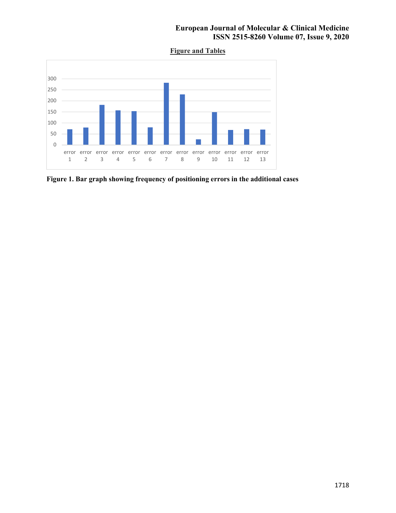**Figure and Tables** 



**Figure 1. Bar graph showing frequency of positioning errors in the additional cases**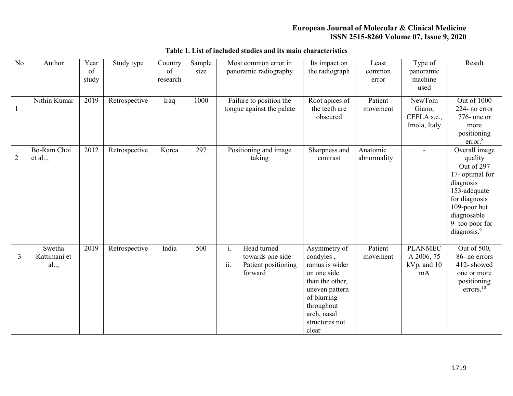| N <sub>o</sub> | Author                       | Year<br>of<br>study | Study type    | Country<br>of<br>research | Sample<br>size | Most common error in<br>panoramic radiography                                  | Its impact on<br>the radiograph                                                                                                                                        | Least<br>common<br>error | Type of<br>panoramic<br>machine<br>used              | Result                                                                                                                                                                               |
|----------------|------------------------------|---------------------|---------------|---------------------------|----------------|--------------------------------------------------------------------------------|------------------------------------------------------------------------------------------------------------------------------------------------------------------------|--------------------------|------------------------------------------------------|--------------------------------------------------------------------------------------------------------------------------------------------------------------------------------------|
| $\mathbf{1}$   | Nithin Kumar                 | 2019                | Retrospective | Iraq                      | 1000           | Failure to position the<br>tongue against the palate                           | Root apices of<br>the teeth are<br>obscured                                                                                                                            | Patient<br>movement      | NewTom<br>Giano,<br>CEFLA s.c.,<br>Imola, Italy      | Out of 1000<br>224- no error<br>$776$ - one or<br>more<br>positioning<br>error. <sup>8</sup>                                                                                         |
| $\overline{2}$ | Bo-Ram Choi<br>et al         | 2012                | Retrospective | Korea                     | 297            | Positioning and image<br>taking                                                | Sharpness and<br>contrast                                                                                                                                              | Anatomic<br>abnormality  | $\overline{a}$                                       | Overall image<br>quality<br>Out of 297<br>17- optimal for<br>diagnosis<br>153-adequate<br>for diagnosis<br>109-poor but<br>diagnosable<br>9- too poor for<br>diagnosis. <sup>9</sup> |
| $\overline{3}$ | Swetha<br>Kattimani et<br>al | 2019                | Retrospective | India                     | 500            | Head turned<br>i.<br>towards one side<br>ii.<br>Patient positioning<br>forward | Asymmetry of<br>condyles,<br>ramus is wider<br>on one side<br>than the other,<br>uneven pattern<br>of blurring<br>throughout<br>arch, nasal<br>structures not<br>clear | Patient<br>movement      | <b>PLANMEC</b><br>A 2006, 75<br>$kVp$ , and 10<br>mA | Out of 500,<br>86- no errors<br>412-showed<br>one or more<br>positioning<br>$\text{errors.}^{10}$                                                                                    |

# **Table 1. List of included studies and its main characteristics**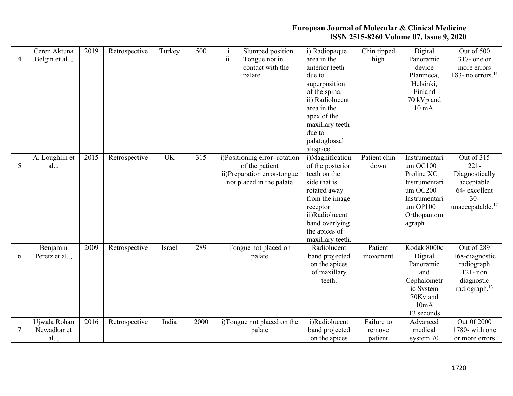| $\overline{4}$ | Ceren Aktuna<br>Belgin et al,      | 2019 | Retrospective | Turkey    | 500  | Slumped position<br>1.<br>ii.<br>Tongue not in<br>contact with the<br>palate                              | i) Radiopaque<br>area in the<br>anterior teeth<br>due to<br>superposition<br>of the spina.<br>ii) Radiolucent<br>area in the<br>apex of the<br>maxillary teeth<br>due to<br>palatoglossal<br>airspace. | Chin tipped<br>high             | Digital<br>Panoramic<br>device<br>Planmeca,<br>Helsinki,<br>Finland<br>70 kVp and<br>10 mA.                               | Out of 500<br>$317$ - one or<br>more errors<br>183- no errors. $^{11}$                                          |
|----------------|------------------------------------|------|---------------|-----------|------|-----------------------------------------------------------------------------------------------------------|--------------------------------------------------------------------------------------------------------------------------------------------------------------------------------------------------------|---------------------------------|---------------------------------------------------------------------------------------------------------------------------|-----------------------------------------------------------------------------------------------------------------|
| 5              | A. Loughlin et<br>al               | 2015 | Retrospective | <b>UK</b> | 315  | i)Positioning error-rotation<br>of the patient<br>ii)Preparation error-tongue<br>not placed in the palate | i)Magnification<br>of the posterior<br>teeth on the<br>side that is<br>rotated away<br>from the image<br>receptor<br>ii)Radiolucent<br>band overlying<br>the apices of<br>maxillary teeth.             | Patient chin<br>down            | Instrumentari<br>um OC100<br>Proline XC<br>Instrumentari<br>umOC200<br>Instrumentari<br>um OP100<br>Orthopantom<br>agraph | Out of 315<br>$221 -$<br>Diagnostically<br>acceptable<br>64-excellent<br>$30 -$<br>unaccepatable. <sup>12</sup> |
| 6              | Benjamin<br>Peretz et al           | 2009 | Retrospective | Israel    | 289  | Tongue not placed on<br>palate                                                                            | Radiolucent<br>band projected<br>on the apices<br>of maxillary<br>teeth.                                                                                                                               | Patient<br>movement             | Kodak 8000c<br>Digital<br>Panoramic<br>and<br>Cephalometr<br>ic System<br>70Kv and<br>10mA<br>13 seconds                  | Out of 289<br>168-diagnostic<br>radiograph<br>$121 - non$<br>diagnostic<br>radiograph. <sup>13</sup>            |
| $\tau$         | Ujwala Rohan<br>Newadkar et<br>al, | 2016 | Retrospective | India     | 2000 | i)Tongue not placed on the<br>palate                                                                      | i)Radiolucent<br>band projected<br>on the apices                                                                                                                                                       | Failure to<br>remove<br>patient | Advanced<br>medical<br>system 70                                                                                          | Out 0f 2000<br>1780- with one<br>or more errors                                                                 |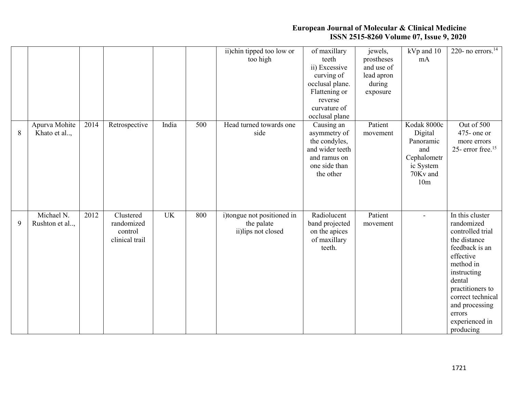|   |               |      |                |           |                  | ii)chin tipped too low or  | of maxillary    | jewels,    | kVp and 10               | 220- no $\overline{\text{errors.}}^{14}$ |
|---|---------------|------|----------------|-----------|------------------|----------------------------|-----------------|------------|--------------------------|------------------------------------------|
|   |               |      |                |           |                  |                            | teeth           |            | mA                       |                                          |
|   |               |      |                |           |                  | too high                   |                 | prostheses |                          |                                          |
|   |               |      |                |           |                  |                            | ii) Excessive   | and use of |                          |                                          |
|   |               |      |                |           |                  |                            | curving of      | lead apron |                          |                                          |
|   |               |      |                |           |                  |                            | occlusal plane. | during     |                          |                                          |
|   |               |      |                |           |                  |                            | Flattening or   | exposure   |                          |                                          |
|   |               |      |                |           |                  |                            | reverse         |            |                          |                                          |
|   |               |      |                |           |                  |                            | curvature of    |            |                          |                                          |
|   |               |      |                |           |                  |                            | occlusal plane  |            |                          |                                          |
|   | Apurva Mohite | 2014 | Retrospective  | India     | $\overline{500}$ | Head turned towards one    | Causing an      | Patient    | Kodak 8000c              | Out of 500                               |
| 8 | Khato et al,  |      |                |           |                  | side                       | asymmetry of    | movement   | Digital                  | $475$ - one or                           |
|   |               |      |                |           |                  |                            | the condyles,   |            | Panoramic                | more errors                              |
|   |               |      |                |           |                  |                            | and wider teeth |            | and                      | 25- error free. <sup>15</sup>            |
|   |               |      |                |           |                  |                            | and ramus on    |            | Cephalometr              |                                          |
|   |               |      |                |           |                  |                            | one side than   |            | ic System                |                                          |
|   |               |      |                |           |                  |                            | the other       |            | 70Kv and                 |                                          |
|   |               |      |                |           |                  |                            |                 |            | 10 <sub>m</sub>          |                                          |
|   |               |      |                |           |                  |                            |                 |            |                          |                                          |
|   |               |      |                |           |                  |                            |                 |            |                          |                                          |
|   |               |      |                |           |                  |                            |                 |            |                          |                                          |
|   | Michael N.    | 2012 | Clustered      | <b>UK</b> | 800              | i)tongue not positioned in | Radiolucent     | Patient    | $\overline{\phantom{0}}$ | In this cluster                          |
| 9 |               |      | randomized     |           |                  |                            |                 |            |                          | randomized                               |
|   | Rushton et al |      |                |           |                  | the palate                 | band projected  | movement   |                          |                                          |
|   |               |      | control        |           |                  | ii)lips not closed         | on the apices   |            |                          | controlled trial                         |
|   |               |      | clinical trail |           |                  |                            | of maxillary    |            |                          | the distance                             |
|   |               |      |                |           |                  |                            | teeth.          |            |                          | feedback is an                           |
|   |               |      |                |           |                  |                            |                 |            |                          | effective                                |
|   |               |      |                |           |                  |                            |                 |            |                          | method in                                |
|   |               |      |                |           |                  |                            |                 |            |                          |                                          |
|   |               |      |                |           |                  |                            |                 |            |                          | instructing                              |
|   |               |      |                |           |                  |                            |                 |            |                          | dental                                   |
|   |               |      |                |           |                  |                            |                 |            |                          |                                          |
|   |               |      |                |           |                  |                            |                 |            |                          | practitioners to                         |
|   |               |      |                |           |                  |                            |                 |            |                          | correct technical                        |
|   |               |      |                |           |                  |                            |                 |            |                          | and processing                           |
|   |               |      |                |           |                  |                            |                 |            |                          | errors<br>experienced in                 |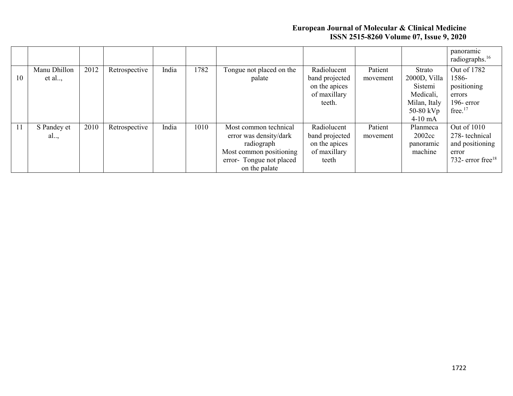|    |              |      |               |       |      |                          |                |          |              | panoramic<br>radiographs. <sup>16</sup> |
|----|--------------|------|---------------|-------|------|--------------------------|----------------|----------|--------------|-----------------------------------------|
|    | Manu Dhillon | 2012 | Retrospective | India | 1782 | Tongue not placed on the | Radiolucent    | Patient  | Strato       | Out of 1782                             |
| 10 | et al        |      |               |       |      | palate                   | band projected | movement | 2000D, Villa | 1586-                                   |
|    |              |      |               |       |      |                          | on the apices  |          | Sistemi      | positioning                             |
|    |              |      |               |       |      |                          | of maxillary   |          | Medicali,    | errors                                  |
|    |              |      |               |       |      |                          | teeth.         |          | Milan, Italy | $196$ - error                           |
|    |              |      |               |       |      |                          |                |          | 50-80 kVp    | free. <sup>17</sup>                     |
|    |              |      |               |       |      |                          |                |          | $4-10$ mA    |                                         |
| 11 | S Pandey et  | 2010 | Retrospective | India | 1010 | Most common technical    | Radiolucent    | Patient  | Planmeca     | Out of 1010                             |
|    | al,          |      |               |       |      | error was density/dark   | band projected | movement | 2002cc       | 278-technical                           |
|    |              |      |               |       |      | radiograph               | on the apices  |          | panoramic    | and positioning                         |
|    |              |      |               |       |      | Most common positioning  | of maxillary   |          | machine      | error                                   |
|    |              |      |               |       |      | error-Tongue not placed  | teeth          |          |              | 732- error free $18$                    |
|    |              |      |               |       |      | on the palate            |                |          |              |                                         |